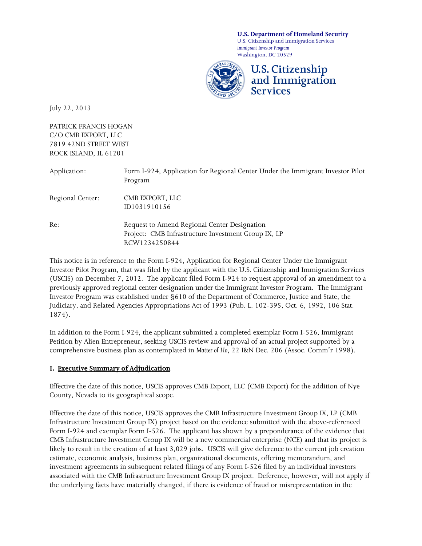**U.S. Department of Homeland Security**

U.S. Citizenship and Immigration Services *Immigrant Investor Program* Washington, DC 20529



July 22, 2013

PATRICK FRANCIS HOGAN C/O CMB EXPORT, LLC 7819 42ND STREET WEST ROCK ISLAND, IL 61201

| Application:     | Form I-924, Application for Regional Center Under the Immigrant Investor Pilot<br>Program                            |
|------------------|----------------------------------------------------------------------------------------------------------------------|
| Regional Center: | CMB EXPORT, LLC<br>ID1031910156                                                                                      |
| Re:              | Request to Amend Regional Center Designation<br>Project: CMB Infrastructure Investment Group IX, LP<br>RCW1234250844 |

This notice is in reference to the Form I-924, Application for Regional Center Under the Immigrant Investor Pilot Program, that was filed by the applicant with the U.S. Citizenship and Immigration Services (USCIS) on December 7, 2012. The applicant filed Form I-924 to request approval of an amendment to a previously approved regional center designation under the Immigrant Investor Program. The Immigrant Investor Program was established under §610 of the Department of Commerce, Justice and State, the Judiciary, and Related Agencies Appropriations Act of 1993 (Pub. L. 102-395, Oct. 6, 1992, 106 Stat. 1874).

In addition to the Form I-924, the applicant submitted a completed exemplar Form I-526, Immigrant Petition by Alien Entrepreneur, seeking USCIS review and approval of an actual project supported by a comprehensive business plan as contemplated in *Matter of Ho*, 22 I&N Dec. 206 (Assoc. Comm'r 1998).

# **I. Executive Summary of Adjudication**

Effective the date of this notice, USCIS approves CMB Export, LLC (CMB Export) for the addition of Nye County, Nevada to its geographical scope.

Effective the date of this notice, USCIS approves the CMB Infrastructure Investment Group IX, LP (CMB Infrastructure Investment Group IX) project based on the evidence submitted with the above-referenced Form I-924 and exemplar Form I-526. The applicant has shown by a preponderance of the evidence that CMB Infrastructure Investment Group IX will be a new commercial enterprise (NCE) and that its project is likely to result in the creation of at least 3,029 jobs. USCIS will give deference to the current job creation estimate, economic analysis, business plan, organizational documents, offering memorandum, and investment agreements in subsequent related filings of any Form I-526 filed by an individual investors associated with the CMB Infrastructure Investment Group IX project. Deference, however, will not apply if the underlying facts have materially changed, if there is evidence of fraud or misrepresentation in the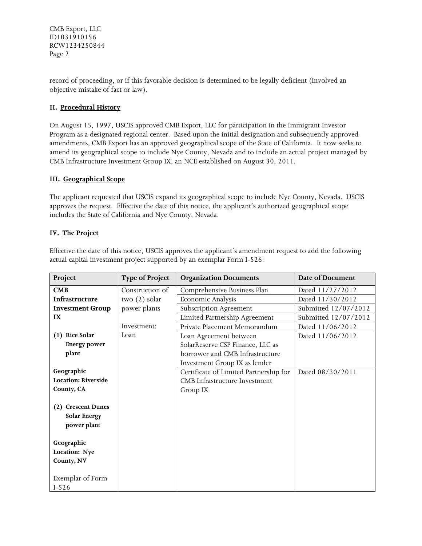record of proceeding, or if this favorable decision is determined to be legally deficient (involved an objective mistake of fact or law).

# **II. Procedural History**

On August 15, 1997, USCIS approved CMB Export, LLC for participation in the Immigrant Investor Program as a designated regional center. Based upon the initial designation and subsequently approved amendments, CMB Export has an approved geographical scope of the State of California. It now seeks to amend its geographical scope to include Nye County, Nevada and to include an actual project managed by CMB Infrastructure Investment Group IX, an NCE established on August 30, 2011.

# **III. Geographical Scope**

The applicant requested that USCIS expand its geographical scope to include Nye County, Nevada. USCIS approves the request. Effective the date of this notice, the applicant's authorized geographical scope includes the State of California and Nye County, Nevada.

# **IV. The Project**

Effective the date of this notice, USCIS approves the applicant's amendment request to add the following actual capital investment project supported by an exemplar Form I-526:

| Project                    | <b>Type of Project</b> | <b>Organization Documents</b>          | Date of Document     |  |
|----------------------------|------------------------|----------------------------------------|----------------------|--|
| CMB                        | Construction of        | Comprehensive Business Plan            | Dated 11/27/2012     |  |
| Infrastructure             | two $(2)$ solar        | Economic Analysis                      | Dated 11/30/2012     |  |
| <b>Investment Group</b>    | power plants           | Subscription Agreement                 | Submitted 12/07/2012 |  |
| IX                         |                        | Limited Partnership Agreement          | Submitted 12/07/2012 |  |
|                            | Investment:            | Private Placement Memorandum           | Dated 11/06/2012     |  |
| (1) Rice Solar             | Loan                   | Loan Agreement between                 | Dated 11/06/2012     |  |
| <b>Energy power</b>        |                        | SolarReserve CSP Finance, LLC as       |                      |  |
| plant                      |                        | borrower and CMB Infrastructure        |                      |  |
|                            |                        | Investment Group IX as lender          |                      |  |
| Geographic                 |                        | Certificate of Limited Partnership for | Dated 08/30/2011     |  |
| <b>Location: Riverside</b> |                        | CMB Infrastructure Investment          |                      |  |
| County, CA                 |                        | Group IX                               |                      |  |
|                            |                        |                                        |                      |  |
| (2) Crescent Dunes         |                        |                                        |                      |  |
| <b>Solar Energy</b>        |                        |                                        |                      |  |
| power plant                |                        |                                        |                      |  |
|                            |                        |                                        |                      |  |
| Geographic                 |                        |                                        |                      |  |
| Location: Nye              |                        |                                        |                      |  |
| County, NV                 |                        |                                        |                      |  |
|                            |                        |                                        |                      |  |
| Exemplar of Form           |                        |                                        |                      |  |
| $I-526$                    |                        |                                        |                      |  |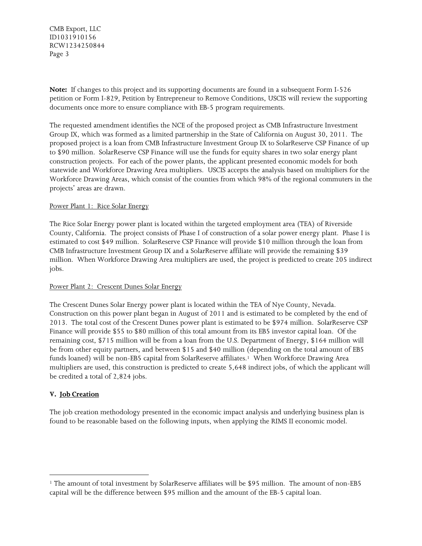**Note:** If changes to this project and its supporting documents are found in a subsequent Form I-526 petition or Form I-829, Petition by Entrepreneur to Remove Conditions, USCIS will review the supporting documents once more to ensure compliance with EB-5 program requirements.

The requested amendment identifies the NCE of the proposed project as CMB Infrastructure Investment Group IX, which was formed as a limited partnership in the State of California on August 30, 2011. The proposed project is a loan from CMB Infrastructure Investment Group IX to SolarReserve CSP Finance of up to \$90 million. SolarReserve CSP Finance will use the funds for equity shares in two solar energy plant construction projects. For each of the power plants, the applicant presented economic models for both statewide and Workforce Drawing Area multipliers. USCIS accepts the analysis based on multipliers for the Workforce Drawing Areas, which consist of the counties from which 98% of the regional commuters in the projects' areas are drawn.

#### Power Plant 1: Rice Solar Energy

The Rice Solar Energy power plant is located within the targeted employment area (TEA) of Riverside County, California. The project consists of Phase I of construction of a solar power energy plant. Phase I is estimated to cost \$49 million. SolarReserve CSP Finance will provide \$10 million through the loan from CMB Infrastructure Investment Group IX and a SolarReserve affiliate will provide the remaining \$39 million. When Workforce Drawing Area multipliers are used, the project is predicted to create 205 indirect jobs.

#### Power Plant 2: Crescent Dunes Solar Energy

The Crescent Dunes Solar Energy power plant is located within the TEA of Nye County, Nevada. Construction on this power plant began in August of 2011 and is estimated to be completed by the end of 2013. The total cost of the Crescent Dunes power plant is estimated to be \$974 million. SolarReserve CSP Finance will provide \$55 to \$80 million of this total amount from its EB5 investor capital loan. Of the remaining cost, \$715 million will be from a loan from the U.S. Department of Energy, \$164 million will be from other equity partners, and between \$15 and \$40 million (depending on the total amount of EB5 funds loaned) will be non-EB5 capital from SolarReserve affiliates.<sup>1</sup> When Workforce Drawing Area multipliers are used, this construction is predicted to create 5,648 indirect jobs, of which the applicant will be credited a total of 2,824 jobs.

# **V. Job Creation**

l

The job creation methodology presented in the economic impact analysis and underlying business plan is found to be reasonable based on the following inputs, when applying the RIMS II economic model.

<sup>1</sup> The amount of total investment by SolarReserve affiliates will be \$95 million. The amount of non-EB5 capital will be the difference between \$95 million and the amount of the EB-5 capital loan.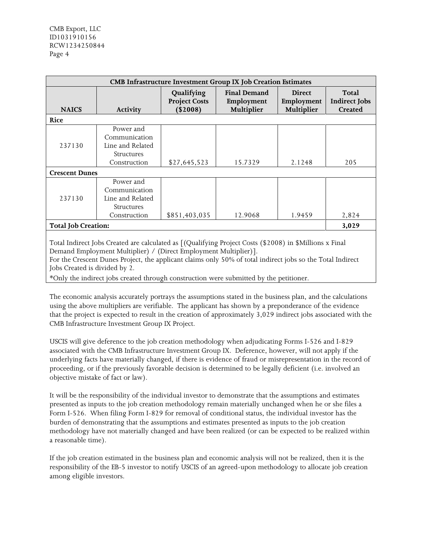| <b>CMB Infrastructure Investment Group IX Job Creation Estimates</b> |                                                                                     |                                                |                                                 |                                           |                                                 |  |  |  |
|----------------------------------------------------------------------|-------------------------------------------------------------------------------------|------------------------------------------------|-------------------------------------------------|-------------------------------------------|-------------------------------------------------|--|--|--|
| <b>NAICS</b>                                                         | Activity                                                                            | Qualifying<br><b>Project Costs</b><br>(\$2008) | <b>Final Demand</b><br>Employment<br>Multiplier | <b>Direct</b><br>Employment<br>Multiplier | Total<br><b>Indirect Jobs</b><br><b>Created</b> |  |  |  |
| Rice                                                                 |                                                                                     |                                                |                                                 |                                           |                                                 |  |  |  |
| 237130                                                               | Power and<br>Communication<br>Line and Related<br><b>Structures</b><br>Construction | \$27,645,523                                   | 15.7329                                         | 2.1248                                    | 205                                             |  |  |  |
| <b>Crescent Dunes</b>                                                |                                                                                     |                                                |                                                 |                                           |                                                 |  |  |  |
| 237130                                                               | Power and<br>Communication<br>Line and Related<br>Structures<br>Construction        | \$851,403,035                                  | 12.9068                                         | 1.9459                                    | 2,824                                           |  |  |  |
| <b>Total Job Creation:</b>                                           |                                                                                     |                                                |                                                 |                                           |                                                 |  |  |  |

Total Indirect Jobs Created are calculated as [(Qualifying Project Costs (\$2008) in \$Millions x Final Demand Employment Multiplier) / (Direct Employment Multiplier)].

For the Crescent Dunes Project, the applicant claims only 50% of total indirect jobs so the Total Indirect Jobs Created is divided by 2.

\*Only the indirect jobs created through construction were submitted by the petitioner.

The economic analysis accurately portrays the assumptions stated in the business plan, and the calculations using the above multipliers are verifiable. The applicant has shown by a preponderance of the evidence that the project is expected to result in the creation of approximately 3,029 indirect jobs associated with the CMB Infrastructure Investment Group IX Project.

USCIS will give deference to the job creation methodology when adjudicating Forms I-526 and I-829 associated with the CMB Infrastructure Investment Group IX. Deference, however, will not apply if the underlying facts have materially changed, if there is evidence of fraud or misrepresentation in the record of proceeding, or if the previously favorable decision is determined to be legally deficient (i.e. involved an objective mistake of fact or law).

It will be the responsibility of the individual investor to demonstrate that the assumptions and estimates presented as inputs to the job creation methodology remain materially unchanged when he or she files a Form I-526. When filing Form I-829 for removal of conditional status, the individual investor has the burden of demonstrating that the assumptions and estimates presented as inputs to the job creation methodology have not materially changed and have been realized (or can be expected to be realized within a reasonable time).

If the job creation estimated in the business plan and economic analysis will not be realized, then it is the responsibility of the EB-5 investor to notify USCIS of an agreed-upon methodology to allocate job creation among eligible investors.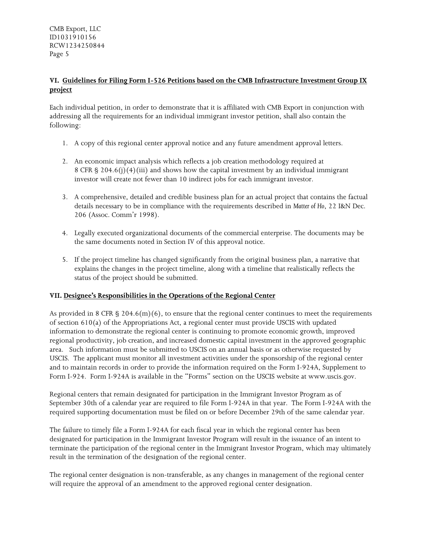# **VI. Guidelines for Filing Form I-526 Petitions based on the CMB Infrastructure Investment Group IX project**

Each individual petition, in order to demonstrate that it is affiliated with CMB Export in conjunction with addressing all the requirements for an individual immigrant investor petition, shall also contain the following:

- 1. A copy of this regional center approval notice and any future amendment approval letters.
- 2. An economic impact analysis which reflects a job creation methodology required at 8 CFR  $\S$  204.6(j)(4)(iii) and shows how the capital investment by an individual immigrant investor will create not fewer than 10 indirect jobs for each immigrant investor.
- 3. A comprehensive, detailed and credible business plan for an actual project that contains the factual details necessary to be in compliance with the requirements described in *Matter of Ho*, 22 I&N Dec. 206 (Assoc. Comm'r 1998).
- 4. Legally executed organizational documents of the commercial enterprise. The documents may be the same documents noted in Section IV of this approval notice.
- 5. If the project timeline has changed significantly from the original business plan, a narrative that explains the changes in the project timeline, along with a timeline that realistically reflects the status of the project should be submitted.

# **VII. Designee's Responsibilities in the Operations of the Regional Center**

As provided in 8 CFR  $\S 204.6(m)(6)$ , to ensure that the regional center continues to meet the requirements of section 610(a) of the Appropriations Act, a regional center must provide USCIS with updated information to demonstrate the regional center is continuing to promote economic growth, improved regional productivity, job creation, and increased domestic capital investment in the approved geographic area. Such information must be submitted to USCIS on an annual basis or as otherwise requested by USCIS. The applicant must monitor all investment activities under the sponsorship of the regional center and to maintain records in order to provide the information required on the Form I-924A, Supplement to Form I-924. Form I-924A is available in the "Forms" section on the USCIS website at www.uscis.gov.

Regional centers that remain designated for participation in the Immigrant Investor Program as of September 30th of a calendar year are required to file Form I-924A in that year. The Form I-924A with the required supporting documentation must be filed on or before December 29th of the same calendar year.

The failure to timely file a Form I-924A for each fiscal year in which the regional center has been designated for participation in the Immigrant Investor Program will result in the issuance of an intent to terminate the participation of the regional center in the Immigrant Investor Program, which may ultimately result in the termination of the designation of the regional center.

The regional center designation is non-transferable, as any changes in management of the regional center will require the approval of an amendment to the approved regional center designation.